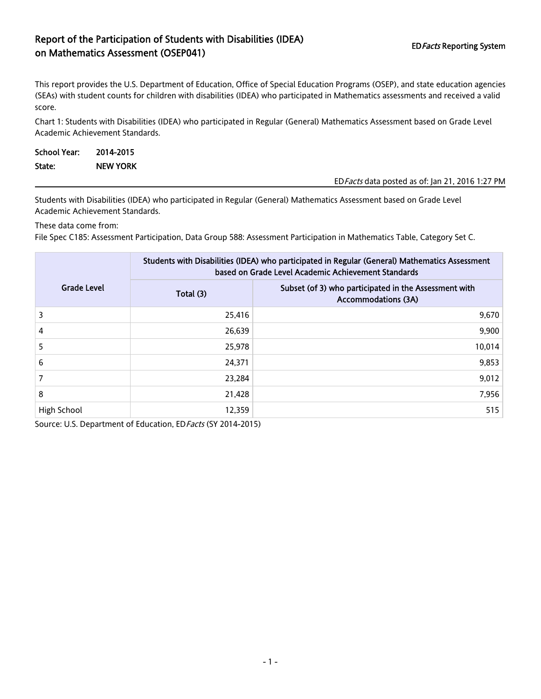## Report of the Participation of Students with Disabilities (IDEA) EDFacts Reporting System<br>
on Mathematics Assessment (OSEP041)

This report provides the U.S. Department of Education, Office of Special Education Programs (OSEP), and state education agencies (SEAs) with student counts for children with disabilities (IDEA) who participated in Mathematics assessments and received a valid score.

Chart 1: Students with Disabilities (IDEA) who participated in Regular (General) Mathematics Assessment based on Grade Level Academic Achievement Standards.

| School Year: | 2014-2015       |                                                  |
|--------------|-----------------|--------------------------------------------------|
| State:       | <b>NEW YORK</b> |                                                  |
|              |                 | ED Facts data posted as of: Jan 21, 2016 1:27 PM |

Students with Disabilities (IDEA) who participated in Regular (General) Mathematics Assessment based on Grade Level Academic Achievement Standards.

These data come from:

File Spec C185: Assessment Participation, Data Group 588: Assessment Participation in Mathematics Table, Category Set C.

|                    | Students with Disabilities (IDEA) who participated in Regular (General) Mathematics Assessment<br>based on Grade Level Academic Achievement Standards |                                                                                     |  |  |
|--------------------|-------------------------------------------------------------------------------------------------------------------------------------------------------|-------------------------------------------------------------------------------------|--|--|
| <b>Grade Level</b> | Total (3)                                                                                                                                             | Subset (of 3) who participated in the Assessment with<br><b>Accommodations (3A)</b> |  |  |
| 3                  | 25,416                                                                                                                                                | 9,670                                                                               |  |  |
| 4                  | 26,639                                                                                                                                                | 9,900                                                                               |  |  |
| 5                  | 25,978                                                                                                                                                | 10,014                                                                              |  |  |
| 6                  | 24,371                                                                                                                                                | 9,853                                                                               |  |  |
|                    | 23.284                                                                                                                                                | 9,012                                                                               |  |  |
| 8                  | 21,428                                                                                                                                                | 7,956                                                                               |  |  |
| High School        | 12,359                                                                                                                                                | 515                                                                                 |  |  |

Source: U.S. Department of Education, ED Facts (SY 2014-2015)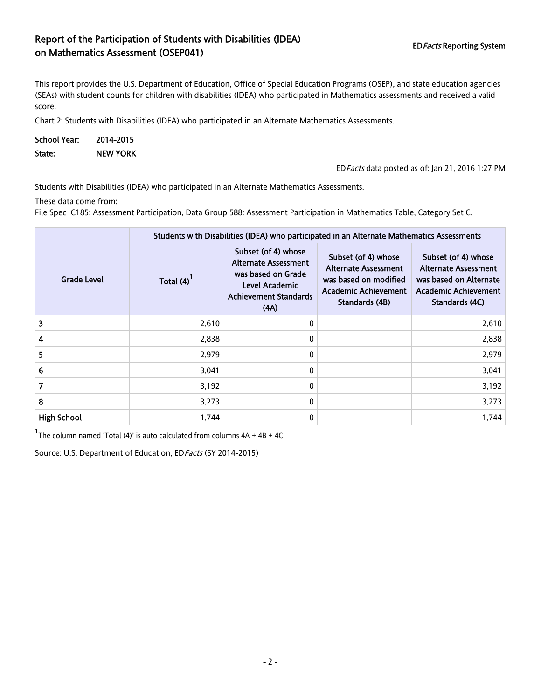## Report of the Participation of Students with Disabilities (IDEA) EDFacts Reporting System<br>
on Mathematics Assessment (OSEP041)

This report provides the U.S. Department of Education, Office of Special Education Programs (OSEP), and state education agencies (SEAs) with student counts for children with disabilities (IDEA) who participated in Mathematics assessments and received a valid score.

Chart 2: Students with Disabilities (IDEA) who participated in an Alternate Mathematics Assessments.

| School Year: | 2014-2015       |                                                  |
|--------------|-----------------|--------------------------------------------------|
| State:       | <b>NEW YORK</b> |                                                  |
|              |                 | ED Facts data posted as of: Jan 21, 2016 1:27 PM |

Students with Disabilities (IDEA) who participated in an Alternate Mathematics Assessments.

These data come from:

File Spec C185: Assessment Participation, Data Group 588: Assessment Participation in Mathematics Table, Category Set C.

|                    | Students with Disabilities (IDEA) who participated in an Alternate Mathematics Assessments |                                                                                                                                    |                                                                                                                              |                                                                                                                        |  |  |
|--------------------|--------------------------------------------------------------------------------------------|------------------------------------------------------------------------------------------------------------------------------------|------------------------------------------------------------------------------------------------------------------------------|------------------------------------------------------------------------------------------------------------------------|--|--|
| Grade Level        | Total $(4)$                                                                                | Subset (of 4) whose<br><b>Alternate Assessment</b><br>was based on Grade<br>Level Academic<br><b>Achievement Standards</b><br>(AA) | Subset (of 4) whose<br><b>Alternate Assessment</b><br>was based on modified<br><b>Academic Achievement</b><br>Standards (4B) | Subset (of 4) whose<br><b>Alternate Assessment</b><br>was based on Alternate<br>Academic Achievement<br>Standards (4C) |  |  |
| 3                  | 2,610                                                                                      | 0                                                                                                                                  |                                                                                                                              | 2,610                                                                                                                  |  |  |
| 4                  | 2,838                                                                                      | 0                                                                                                                                  |                                                                                                                              | 2,838                                                                                                                  |  |  |
| 5                  | 2,979                                                                                      | 0                                                                                                                                  |                                                                                                                              | 2,979                                                                                                                  |  |  |
| 6                  | 3,041                                                                                      | 0                                                                                                                                  |                                                                                                                              | 3,041                                                                                                                  |  |  |
| 7                  | 3,192                                                                                      | 0                                                                                                                                  |                                                                                                                              | 3,192                                                                                                                  |  |  |
| 8                  | 3,273                                                                                      | 0                                                                                                                                  |                                                                                                                              | 3,273                                                                                                                  |  |  |
| <b>High School</b> | 1,744                                                                                      | 0                                                                                                                                  |                                                                                                                              | 1,744                                                                                                                  |  |  |

 $1$ The column named 'Total (4)' is auto calculated from columns  $4A + 4B + 4C$ .

Source: U.S. Department of Education, ED Facts (SY 2014-2015)